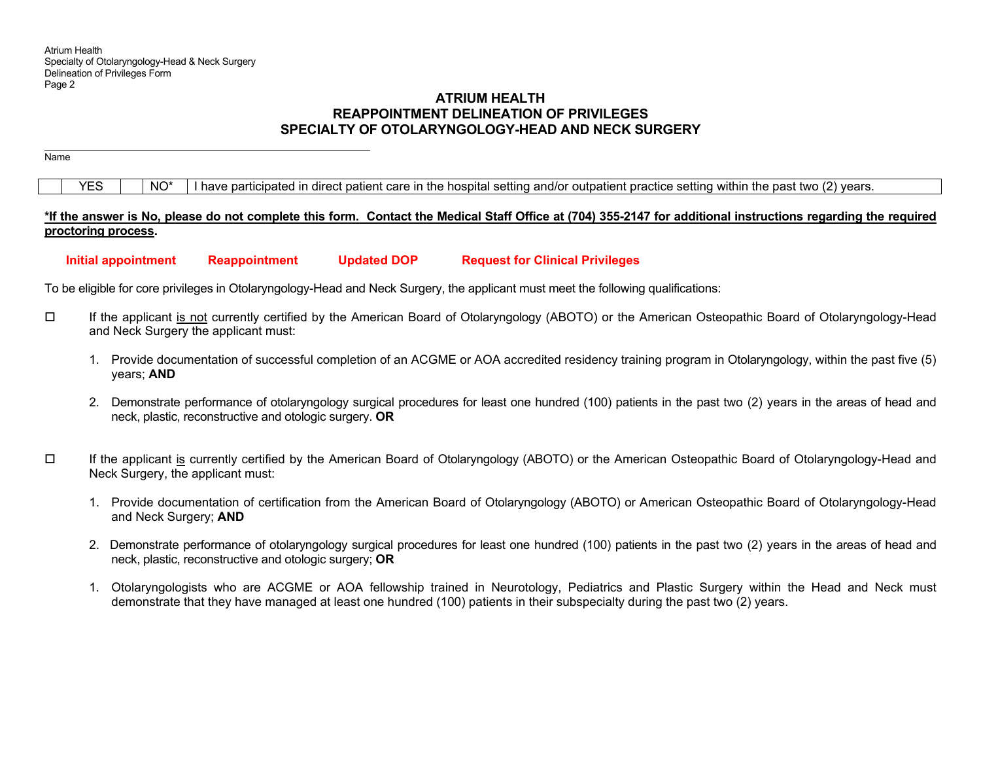# **ATRIUM HEALTHREAPPOINTMENT DELINEATION OF PRIVILEGES SPECIALTY OF OTOLARYNGOLOGY-HEAD AND NECK SURGERY**

Name

 $YES$   $\parallel$  NO\* I have participated in direct patient care in the hospital setting and/or outpatient practice setting within the past two (2) years.

# **\*If the answer is No, please do not complete this form. Contact the Medical Staff Office at (704) 355-2147 for additional instructions regarding the required proctoring process.**

 **Initial appointment Reappointment Updated DOP Request for Clinical Privileges** 

To be eligible for core privileges in Otolaryngology-Head and Neck Surgery, the applicant must meet the following qualifications:

- If the applicant is not currently certified by the American Board of Otolaryngology (ABOTO) or the American Osteopathic Board of Otolaryngology-Head and Neck Surgery the applicant must:
	- 1. Provide documentation of successful completion of an ACGME or AOA accredited residency training program in Otolaryngology, within the past five (5) years; **AND**
	- 2. Demonstrate performance of otolaryngology surgical procedures for least one hundred (100) patients in the past two (2) years in the areas of head and neck, plastic, reconstructive and otologic surgery. **OR**
- $\Box$  If the applicant is currently certified by the American Board of Otolaryngology (ABOTO) or the American Osteopathic Board of Otolaryngology-Head and Neck Surgery, the applicant must:
	- 1. Provide documentation of certification from the American Board of Otolaryngology (ABOTO) or American Osteopathic Board of Otolaryngology-Head and Neck Surgery; **AND**
	- 2. Demonstrate performance of otolaryngology surgical procedures for least one hundred (100) patients in the past two (2) years in the areas of head and neck, plastic, reconstructive and otologic surgery; **OR**
	- 1. Otolaryngologists who are ACGME or AOA fellowship trained in Neurotology, Pediatrics and Plastic Surgery within the Head and Neck must demonstrate that they have managed at least one hundred (100) patients in their subspecialty during the past two (2) years.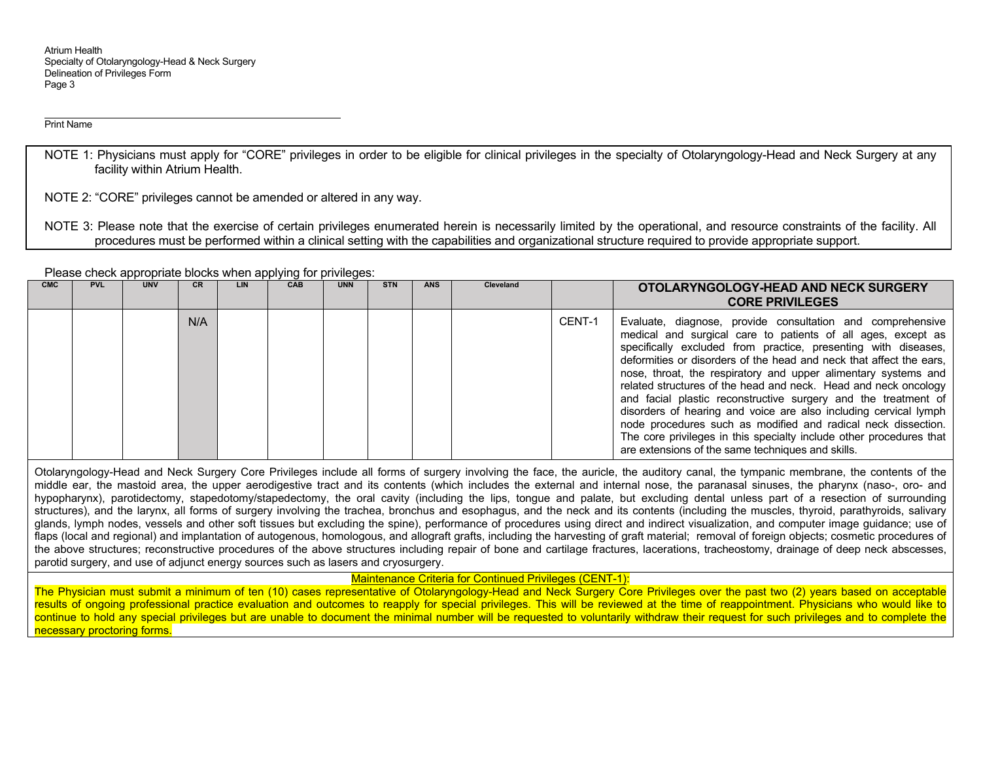Print Name

NOTE 1: Physicians must apply for "CORE" privileges in order to be eligible for clinical privileges in the specialty of Otolaryngology-Head and Neck Surgery at any facility within Atrium Health.

NOTE 2: "CORE" privileges cannot be amended or altered in any way.

NOTE 3: Please note that the exercise of certain privileges enumerated herein is necessarily limited by the operational, and resource constraints of the facility. All procedures must be performed within a clinical setting with the capabilities and organizational structure required to provide appropriate support.

Please check appropriate blocks when applying for privileges:

| <b>CMC</b> | <b>PVL</b> | <b>UNV</b> | <b>CR</b> | LIN | CAB | <b>UNN</b> | <b>STN</b> | <b>ANS</b> | Cleveland |        | OTOLARYNGOLOGY-HEAD AND NECK SURGERY<br><b>CORE PRIVILEGES</b>                                                                                                                                                                                                                                                                                                                                                                                                                                                                                                                                                                                                                                                                              |
|------------|------------|------------|-----------|-----|-----|------------|------------|------------|-----------|--------|---------------------------------------------------------------------------------------------------------------------------------------------------------------------------------------------------------------------------------------------------------------------------------------------------------------------------------------------------------------------------------------------------------------------------------------------------------------------------------------------------------------------------------------------------------------------------------------------------------------------------------------------------------------------------------------------------------------------------------------------|
|            |            |            | N/A       |     |     |            |            |            |           | CENT-1 | Evaluate, diagnose, provide consultation and comprehensive<br>medical and surgical care to patients of all ages, except as<br>specifically excluded from practice, presenting with diseases,<br>deformities or disorders of the head and neck that affect the ears,<br>nose, throat, the respiratory and upper alimentary systems and<br>related structures of the head and neck. Head and neck oncology<br>and facial plastic reconstructive surgery and the treatment of<br>disorders of hearing and voice are also including cervical lymph<br>node procedures such as modified and radical neck dissection.<br>The core privileges in this specialty include other procedures that<br>are extensions of the same techniques and skills. |

Otolaryngology-Head and Neck Surgery Core Privileges include all forms of surgery involving the face, the auricle, the auditory canal, the tympanic membrane, the contents of the middle ear, the mastoid area, the upper aerodigestive tract and its contents (which includes the external and internal nose, the paranasal sinuses, the pharynx (naso-, oro- and hypopharynx), parotidectomy, stapedotomy/stapedectomy, the oral cavity (including the lips, tongue and palate, but excluding dental unless part of a resection of surrounding structures), and the larynx, all forms of surgery involving the trachea, bronchus and esophagus, and the neck and its contents (including the muscles, thyroid, parathyroids, salivary glands, lymph nodes, vessels and other soft tissues but excluding the spine), performance of procedures using direct and indirect visualization, and computer image guidance; use of flaps (local and regional) and implantation of autogenous, homologous, and allograft grafts, including the harvesting of graft material; removal of foreign objects; cosmetic procedures of the above structures; reconstructive procedures of the above structures including repair of bone and cartilage fractures, lacerations, tracheostomy, drainage of deep neck abscesses, parotid surgery, and use of adjunct energy sources such as lasers and cryosurgery.

Maintenance Criteria for Continued Privileges (CENT-1):

The Physician must submit a minimum of ten (10) cases representative of Otolaryngology-Head and Neck Surgery Core Privileges over the past two (2) years based on acceptable results of ongoing professional practice evaluation and outcomes to reapply for special privileges. This will be reviewed at the time of reappointment. Physicians who would like to continue to hold any special privileges but are unable to document the minimal number will be requested to voluntarily withdraw their request for such privileges and to complete the necessary proctoring forms.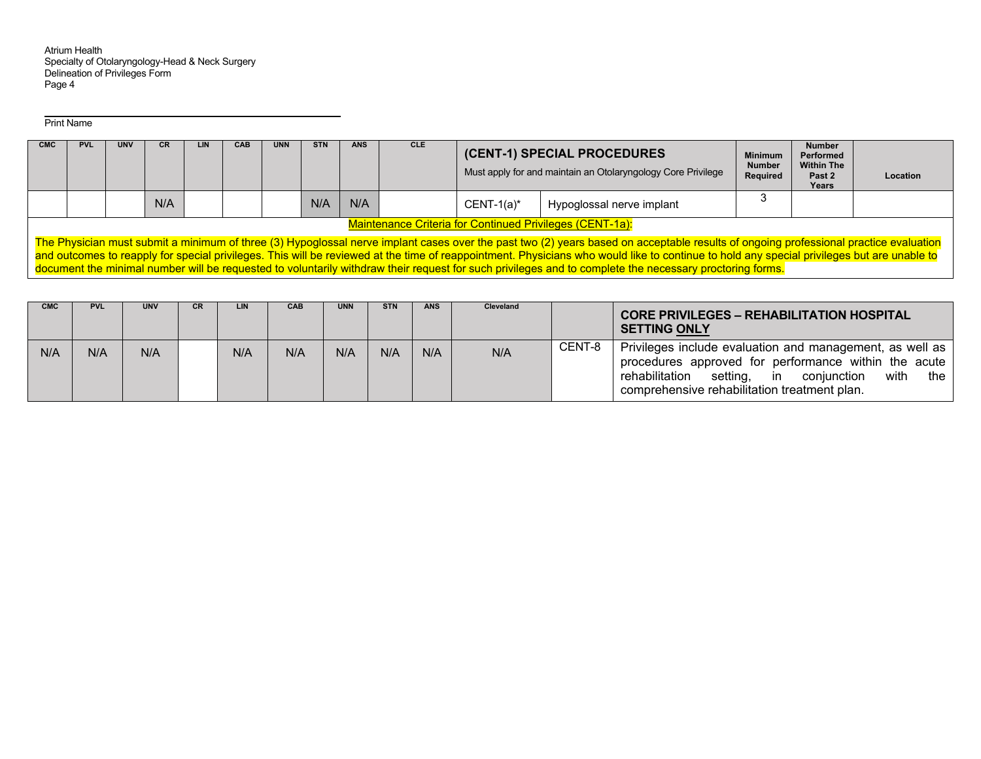Print Name

| CMC | <b>PVL</b>                                                                                                                                                                                                                                                                                                                                                                                                                                                                                                                                    | <b>UNV</b> | CR  | <b>LIN</b> | CAB | <b>UNN</b> | <b>STN</b> | ANS | <b>CLE</b> |               | (CENT-1) SPECIAL PROCEDURES<br>Must apply for and maintain an Otolaryngology Core Privilege | <b>Minimum</b><br><b>Number</b><br>Required | Number<br>Performed<br><b>Within The</b><br>Past 2<br>Years | Location |  |
|-----|-----------------------------------------------------------------------------------------------------------------------------------------------------------------------------------------------------------------------------------------------------------------------------------------------------------------------------------------------------------------------------------------------------------------------------------------------------------------------------------------------------------------------------------------------|------------|-----|------------|-----|------------|------------|-----|------------|---------------|---------------------------------------------------------------------------------------------|---------------------------------------------|-------------------------------------------------------------|----------|--|
|     |                                                                                                                                                                                                                                                                                                                                                                                                                                                                                                                                               |            | N/A |            |     |            | N/A        | N/A |            | $CENT-1(a)^*$ | Hypoglossal nerve implant                                                                   |                                             |                                                             |          |  |
|     | <b>Maintenance Criteria for Continued Privileges (CENT-1a):</b>                                                                                                                                                                                                                                                                                                                                                                                                                                                                               |            |     |            |     |            |            |     |            |               |                                                                                             |                                             |                                                             |          |  |
|     | The Physician must submit a minimum of three (3) Hypoglossal nerve implant cases over the past two (2) years based on acceptable results of ongoing professional practice evaluation<br>and outcomes to reapply for special privileges. This will be reviewed at the time of reappointment. Physicians who would like to continue to hold any special privileges but are unable to<br>document the minimal number will be requested to voluntarily withdraw their request for such privileges and to complete the necessary proctoring forms. |            |     |            |     |            |            |     |            |               |                                                                                             |                                             |                                                             |          |  |

| <b>CMC</b> | <b>PVL</b> | <b>UNV</b> | <b>CR</b> | <b>LIN</b> | <b>CAB</b> | UNN | <b>STN</b> | <b>ANS</b> | Cleveland |        | <b>CORE PRIVILEGES - REHABILITATION HOSPITAL</b><br><b>SETTING ONLY</b>                                                                                                                                                                       |
|------------|------------|------------|-----------|------------|------------|-----|------------|------------|-----------|--------|-----------------------------------------------------------------------------------------------------------------------------------------------------------------------------------------------------------------------------------------------|
| N/A        | N/A        | N/A        |           | N/A        | N/A        | N/A | N/A        | N/A        | N/A       | CENT-8 | Privileges include evaluation and management, as well as<br>procedures approved for performance within the acute<br>rehabilitation<br>with<br>the<br>setting,<br>coniunction<br>$\mathsf{in}$<br>comprehensive rehabilitation treatment plan. |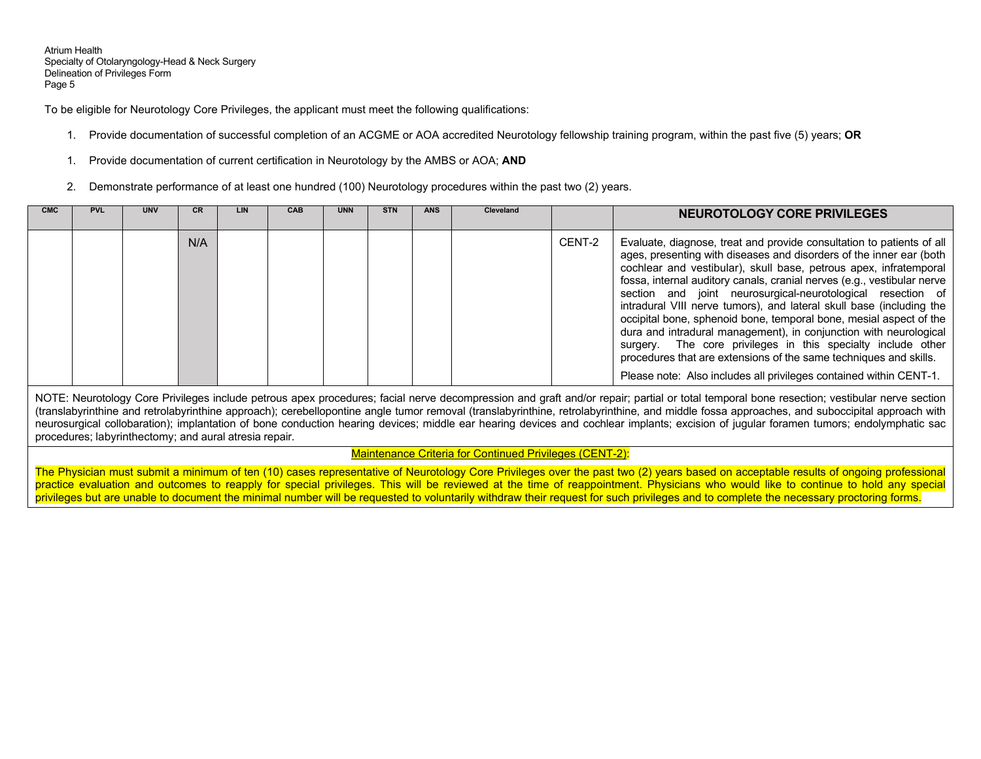To be eligible for Neurotology Core Privileges, the applicant must meet the following qualifications:

- 1. Provide documentation of successful completion of an ACGME or AOA accredited Neurotology fellowship training program, within the past five (5) years; **OR**
- 1. Provide documentation of current certification in Neurotology by the AMBS or AOA; **AND**
- 2. Demonstrate performance of at least one hundred (100) Neurotology procedures within the past two (2) years.

| <b>CMC</b> | <b>PVL</b> | <b>UNV</b> | CR  | <b>LIN</b> | <b>CAB</b> | <b>UNN</b> | <b>STN</b> | <b>ANS</b> | Cleveland |        | NEUROTOLOGY CORE PRIVILEGES                                                                                                                                                                                                                                                                                                                                                                                                                                                                                                                                                                                                                                                                                                                                                               |
|------------|------------|------------|-----|------------|------------|------------|------------|------------|-----------|--------|-------------------------------------------------------------------------------------------------------------------------------------------------------------------------------------------------------------------------------------------------------------------------------------------------------------------------------------------------------------------------------------------------------------------------------------------------------------------------------------------------------------------------------------------------------------------------------------------------------------------------------------------------------------------------------------------------------------------------------------------------------------------------------------------|
|            |            |            | N/A |            |            |            |            |            |           | CENT-2 | Evaluate, diagnose, treat and provide consultation to patients of all<br>ages, presenting with diseases and disorders of the inner ear (both<br>cochlear and vestibular), skull base, petrous apex, infratemporal<br>fossa, internal auditory canals, cranial nerves (e.g., vestibular nerve<br>section and joint neurosurgical-neurotological resection of<br>intradural VIII nerve tumors), and lateral skull base (including the<br>occipital bone, sphenoid bone, temporal bone, mesial aspect of the<br>dura and intradural management), in conjunction with neurological<br>surgery. The core privileges in this specialty include other<br>procedures that are extensions of the same techniques and skills.<br>Please note: Also includes all privileges contained within CENT-1. |

NOTE: Neurotology Core Privileges include petrous apex procedures; facial nerve decompression and graft and/or repair; partial or total temporal bone resection; vestibular nerve section (translabyrinthine and retrolabyrinthine approach); cerebellopontine angle tumor removal (translabyrinthine, retrolabyrinthine, and middle fossa approaches, and suboccipital approach with neurosurgical collobaration); implantation of bone conduction hearing devices; middle ear hearing devices and cochlear implants; excision of jugular foramen tumors; endolymphatic sac procedures; labyrinthectomy; and aural atresia repair.

Maintenance Criteria for Continued Privileges (CENT-2):

The Physician must submit a minimum of ten (10) cases representative of Neurotology Core Privileges over the past two (2) years based on acceptable results of ongoing professional practice evaluation and outcomes to reapply for special privileges. This will be reviewed at the time of reappointment. Physicians who would like to continue to hold any special privileges but are unable to document the minimal number will be requested to voluntarily withdraw their request for such privileges and to complete the necessary proctoring forms.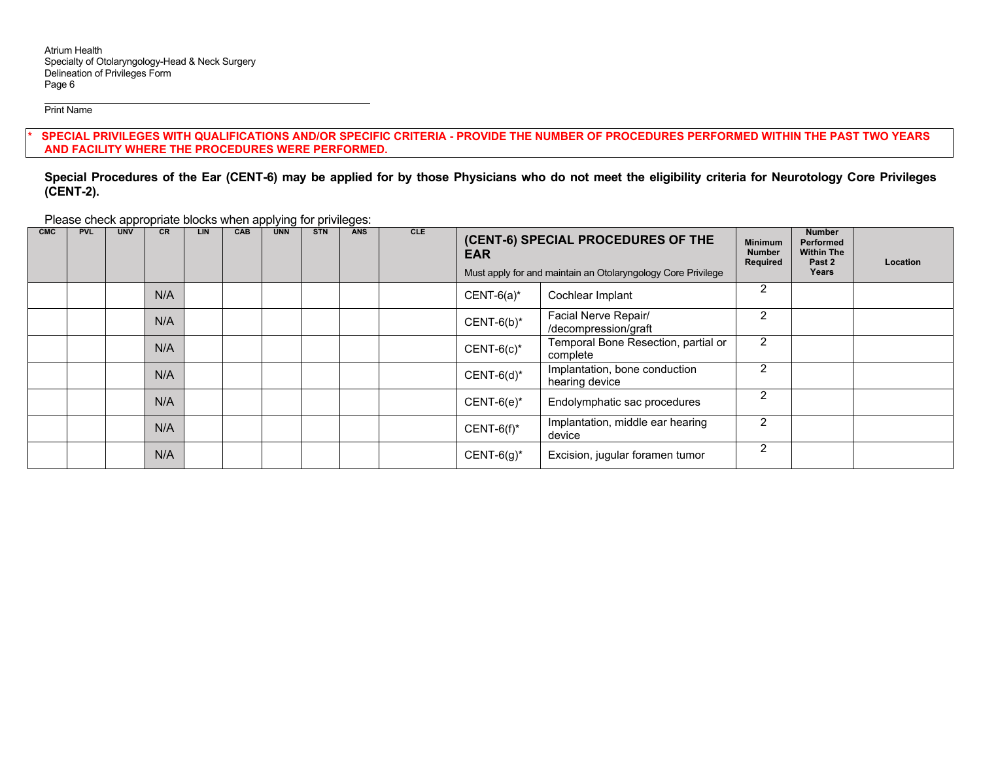Print Name

SPECIAL PRIVILEGES WITH QUALIFICATIONS AND/OR SPECIFIC CRITERIA - PROVIDE THE NUMBER OF PROCEDURES PERFORMED WITHIN THE PAST TWO YEARS **AND FACILITY WHERE THE PROCEDURES WERE PERFORMED.** 

**Special Procedures of the Ear (CENT-6) may be applied for by those Physicians who do not meet the eligibility criteria for Neurotology Core Privileges (CENT-2).** 

Please check appropriate blocks when applying for privileges:

| <b>CMC</b> | <b>PVL</b> | <b>UNV</b> | <b>CR</b> | LIN. | CAB | <b>UNN</b> | <b>STN</b> | <b>ANS</b> | CLE | (CENT-6) SPECIAL PROCEDURES OF THE<br><b>EAR</b><br>Must apply for and maintain an Otolaryngology Core Privilege | <b>Minimum</b><br><b>Number</b><br>Required | <b>Number</b><br><b>Performed</b><br><b>Within The</b><br>Past 2<br>Years | Location |  |
|------------|------------|------------|-----------|------|-----|------------|------------|------------|-----|------------------------------------------------------------------------------------------------------------------|---------------------------------------------|---------------------------------------------------------------------------|----------|--|
|            |            |            | N/A       |      |     |            |            |            |     | $CENT-6(a)*$<br>Cochlear Implant                                                                                 |                                             | 2                                                                         |          |  |
|            |            |            | N/A       |      |     |            |            |            |     | Facial Nerve Repair/<br>$CENT-6(b)^*$<br>/decompression/graft                                                    |                                             | 2                                                                         |          |  |
|            |            |            | N/A       |      |     |            |            |            |     | Temporal Bone Resection, partial or<br>$CENT-6(c)*$<br>complete                                                  |                                             | 2                                                                         |          |  |
|            |            |            | N/A       |      |     |            |            |            |     | Implantation, bone conduction<br>$CENT-6(d)^*$<br>hearing device                                                 |                                             | 2                                                                         |          |  |
|            |            |            | N/A       |      |     |            |            |            |     | $CENT-6(e)^*$<br>Endolymphatic sac procedures                                                                    |                                             | $\mathcal{P}$                                                             |          |  |
|            |            |            | N/A       |      |     |            |            |            |     | Implantation, middle ear hearing<br>$CENT-6(f)^*$<br>device                                                      |                                             | 2                                                                         |          |  |
|            |            |            | N/A       |      |     |            |            |            |     | $CENT-6(g)^*$<br>Excision, jugular foramen tumor                                                                 |                                             | $\mathcal{P}$                                                             |          |  |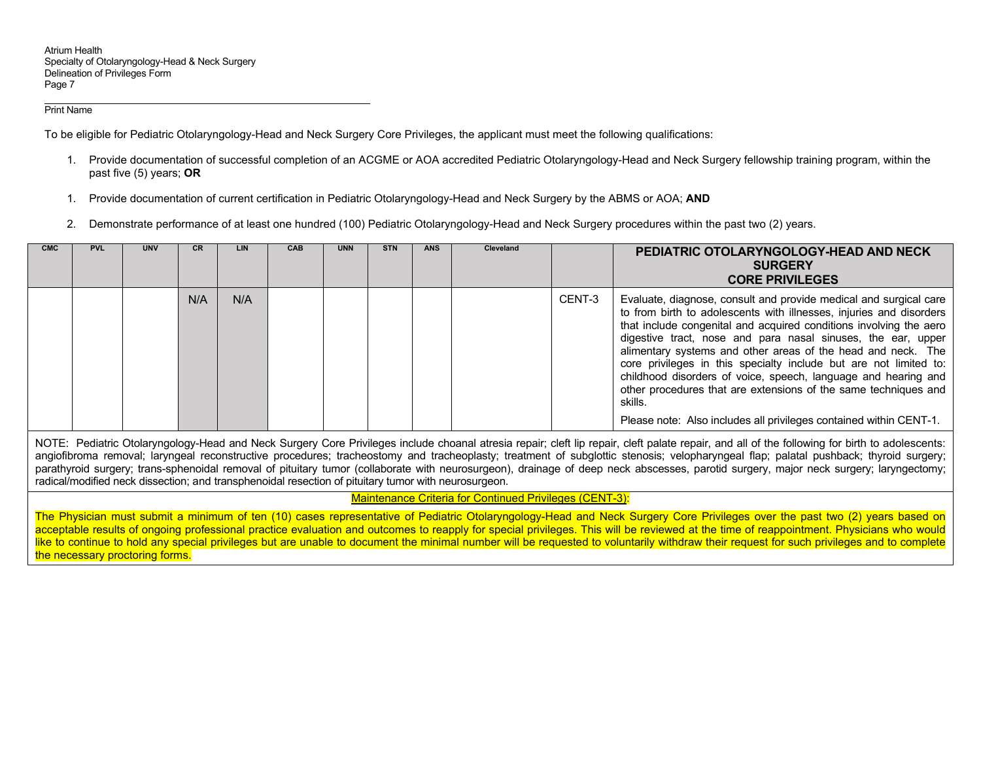#### Print Name

To be eligible for Pediatric Otolaryngology-Head and Neck Surgery Core Privileges, the applicant must meet the following qualifications:

- 1. Provide documentation of successful completion of an ACGME or AOA accredited Pediatric Otolaryngology-Head and Neck Surgery fellowship training program, within the past five (5) years; **OR**
- 1. Provide documentation of current certification in Pediatric Otolaryngology-Head and Neck Surgery by the ABMS or AOA; **AND**
- 2. Demonstrate performance of at least one hundred (100) Pediatric Otolaryngology-Head and Neck Surgery procedures within the past two (2) years.

| <b>CMC</b> | <b>PVL</b> | <b>UNV</b> | СR  | LIN | <b>CAB</b> | <b>UNN</b> | <b>STN</b> | <b>ANS</b> | <b>Cleveland</b> |        | PEDIATRIC OTOLARYNGOLOGY-HEAD AND NECK<br><b>SURGERY</b><br><b>CORE PRIVILEGES</b>                                                                                                                                                                                                                                                                                                                                                                                                                                                                                                                                                        |
|------------|------------|------------|-----|-----|------------|------------|------------|------------|------------------|--------|-------------------------------------------------------------------------------------------------------------------------------------------------------------------------------------------------------------------------------------------------------------------------------------------------------------------------------------------------------------------------------------------------------------------------------------------------------------------------------------------------------------------------------------------------------------------------------------------------------------------------------------------|
|            |            |            | N/A | N/A |            |            |            |            |                  | CENT-3 | Evaluate, diagnose, consult and provide medical and surgical care<br>to from birth to adolescents with illnesses, injuries and disorders<br>that include congenital and acquired conditions involving the aero<br>digestive tract, nose and para nasal sinuses, the ear, upper<br>alimentary systems and other areas of the head and neck. The<br>core privileges in this specialty include but are not limited to:<br>childhood disorders of voice, speech, language and hearing and<br>other procedures that are extensions of the same techniques and<br>skills.<br>Please note: Also includes all privileges contained within CENT-1. |

NOTE: Pediatric Otolaryngology-Head and Neck Surgery Core Privileges include choanal atresia repair; cleft lip repair, cleft palate repair, and all of the following for birth to adolescents: angiofibroma removal; laryngeal reconstructive procedures; tracheostomy and tracheoplasty; treatment of subglottic stenosis; velopharyngeal flap; palatal pushback; thyroid surgery; parathyroid surgery; trans-sphenoidal removal of pituitary tumor (collaborate with neurosurgeon), drainage of deep neck abscesses, parotid surgery, major neck surgery; laryngectomy; radical/modified neck dissection; and transphenoidal resection of pituitary tumor with neurosurgeon.

## Maintenance Criteria for Continued Privileges (CENT-3):

The Physician must submit a minimum of ten (10) cases representative of Pediatric Otolaryngology-Head and Neck Surgery Core Privileges over the past two (2) years based on acceptable results of ongoing professional practice evaluation and outcomes to reapply for special privileges. This will be reviewed at the time of reappointment. Physicians who would like to continue to hold any special privileges but are unable to document the minimal number will be requested to voluntarily withdraw their request for such privileges and to complete the necessary proctoring forms.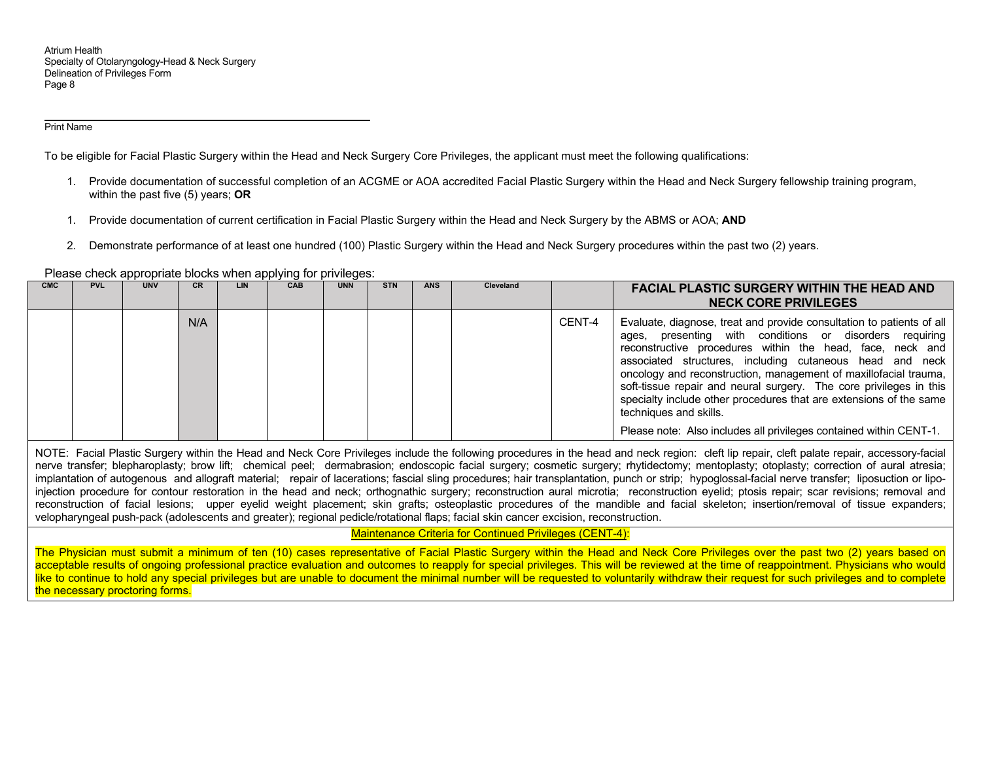#### Print Name

To be eligible for Facial Plastic Surgery within the Head and Neck Surgery Core Privileges, the applicant must meet the following qualifications:

- 1. Provide documentation of successful completion of an ACGME or AOA accredited Facial Plastic Surgery within the Head and Neck Surgery fellowship training program, within the past five (5) years; **OR**
- 1. Provide documentation of current certification in Facial Plastic Surgery within the Head and Neck Surgery by the ABMS or AOA; **AND**
- 2. Demonstrate performance of at least one hundred (100) Plastic Surgery within the Head and Neck Surgery procedures within the past two (2) years.

Please check appropriate blocks when applying for privileges:

| <b>CMC</b> | <b>PVL</b> | <b>UNV</b> | CR  | LIN | CAB | <b>UNN</b> | <b>STN</b> | <b>ANS</b> | Cleveland |        | <b>FACIAL PLASTIC SURGERY WITHIN THE HEAD AND</b><br><b>NECK CORE PRIVILEGES</b>                                                                                                                                                                                                                                                                                                                                                                                                                                                                                             |
|------------|------------|------------|-----|-----|-----|------------|------------|------------|-----------|--------|------------------------------------------------------------------------------------------------------------------------------------------------------------------------------------------------------------------------------------------------------------------------------------------------------------------------------------------------------------------------------------------------------------------------------------------------------------------------------------------------------------------------------------------------------------------------------|
|            |            |            | N/A |     |     |            |            |            |           | CENT-4 | Evaluate, diagnose, treat and provide consultation to patients of all<br>presenting with conditions or disorders requiring<br>ages,<br>reconstructive procedures within the head, face, neck and<br>associated structures, including cutaneous head and neck<br>oncology and reconstruction, management of maxillofacial trauma,<br>soft-tissue repair and neural surgery. The core privileges in this<br>specialty include other procedures that are extensions of the same<br>techniques and skills.<br>Please note: Also includes all privileges contained within CENT-1. |

NOTE: Facial Plastic Surgery within the Head and Neck Core Privileges include the following procedures in the head and neck region: cleft lip repair, cleft palate repair, accessory-facial nerve transfer; blepharoplasty; brow lift; chemical peel; dermabrasion; endoscopic facial surgery; cosmetic surgery; rhytidectomy; mentoplasty; otoplasty; correction of aural atresia; implantation of autogenous and allograft material; repair of lacerations; fascial sling procedures; hair transplantation, punch or strip; hypoglossal-facial nerve transfer; liposuction or lipoinjection procedure for contour restoration in the head and neck; orthognathic surgery; reconstruction aural microtia; reconstruction eyelid; ptosis repair; scar revisions; removal and reconstruction of facial lesions; upper eyelid weight placement; skin grafts; osteoplastic procedures of the mandible and facial skeleton; insertion/removal of tissue expanders; velopharyngeal push-pack (adolescents and greater); regional pedicle/rotational flaps; facial skin cancer excision, reconstruction.

## Maintenance Criteria for Continued Privileges (CENT-4):

The Physician must submit a minimum of ten (10) cases representative of Facial Plastic Surgery within the Head and Neck Core Privileges over the past two (2) years based on acceptable results of ongoing professional practice evaluation and outcomes to reapply for special privileges. This will be reviewed at the time of reappointment. Physicians who would like to continue to hold any special privileges but are unable to document the minimal number will be requested to voluntarily withdraw their request for such privileges and to complete the necessary proctoring forms.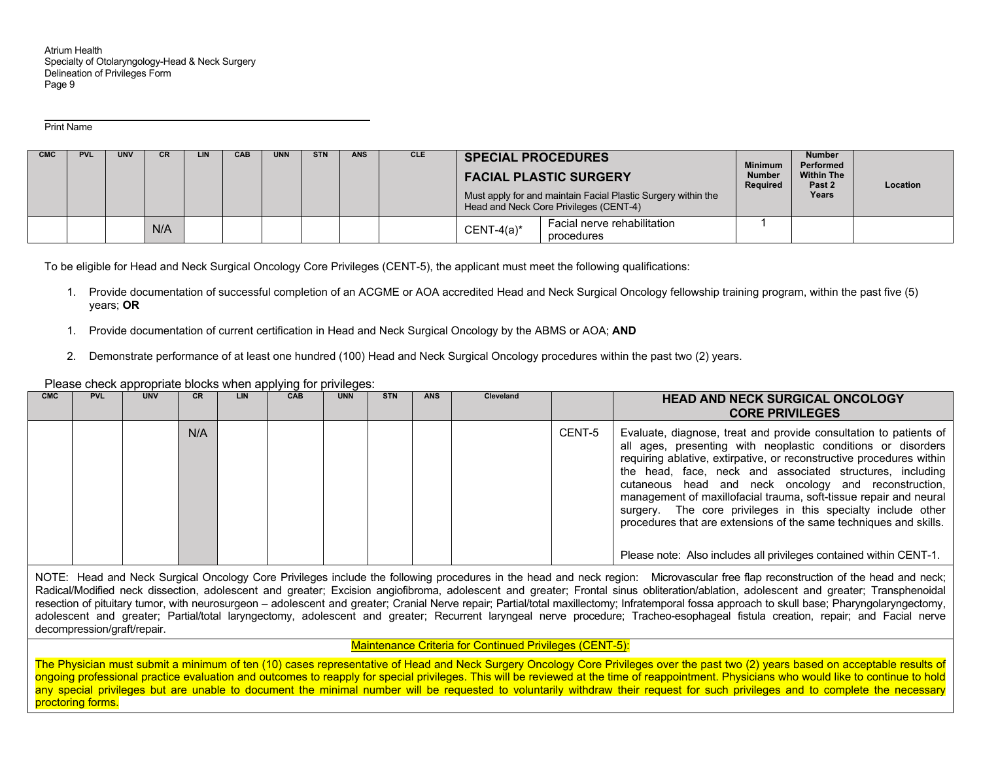Print Name

| <b>CMC</b> | <b>PVL</b> | <b>UNV</b> | CR  | LIN. | CAB | <b>UNN</b> | <b>STN</b> | <b>ANS</b> | <b>CLE</b> | <b>SPECIAL PROCEDURES</b> | <b>FACIAL PLASTIC SURGERY</b><br>Must apply for and maintain Facial Plastic Surgery within the<br>Head and Neck Core Privileges (CENT-4) | <b>Minimum</b><br><b>Number</b><br>Required | <b>Number</b><br>Performed<br><b>Within The</b><br>Past 2<br>Years | Location |
|------------|------------|------------|-----|------|-----|------------|------------|------------|------------|---------------------------|------------------------------------------------------------------------------------------------------------------------------------------|---------------------------------------------|--------------------------------------------------------------------|----------|
|            |            |            | N/A |      |     |            |            |            |            | $CENT-4(a)^*$             | Facial nerve rehabilitation<br>procedures                                                                                                |                                             |                                                                    |          |

To be eligible for Head and Neck Surgical Oncology Core Privileges (CENT-5), the applicant must meet the following qualifications:

- 1. Provide documentation of successful completion of an ACGME or AOA accredited Head and Neck Surgical Oncology fellowship training program, within the past five (5) years; **OR**
- 1. Provide documentation of current certification in Head and Neck Surgical Oncology by the ABMS or AOA; **AND**
- 2. Demonstrate performance of at least one hundred (100) Head and Neck Surgical Oncology procedures within the past two (2) years.

Please check appropriate blocks when applying for privileges:

| <b>CMC</b> | <b>PVL</b> | <b>UNV</b> | <b>CR</b> | LIN | CAB | <b>UNN</b> | <b>STN</b> | <b>ANS</b> | Cleveland |        | <b>HEAD AND NECK SURGICAL ONCOLOGY</b><br><b>CORE PRIVILEGES</b>                                                                                                                                                                                                                                                                                                                                                                                                                                                                                                                                               |
|------------|------------|------------|-----------|-----|-----|------------|------------|------------|-----------|--------|----------------------------------------------------------------------------------------------------------------------------------------------------------------------------------------------------------------------------------------------------------------------------------------------------------------------------------------------------------------------------------------------------------------------------------------------------------------------------------------------------------------------------------------------------------------------------------------------------------------|
|            |            |            | N/A       |     |     |            |            |            |           | CENT-5 | Evaluate, diagnose, treat and provide consultation to patients of<br>all ages, presenting with neoplastic conditions or disorders<br>requiring ablative, extirpative, or reconstructive procedures within<br>the head, face, neck and associated structures, including<br>cutaneous head and neck oncology and reconstruction,<br>management of maxillofacial trauma, soft-tissue repair and neural<br>surgery. The core privileges in this specialty include other<br>procedures that are extensions of the same techniques and skills.<br>Please note: Also includes all privileges contained within CENT-1. |

NOTE: Head and Neck Surgical Oncology Core Privileges include the following procedures in the head and neck region: Microvascular free flap reconstruction of the head and neck; Radical/Modified neck dissection, adolescent and greater; Excision angiofibroma, adolescent and greater; Frontal sinus obliteration/ablation, adolescent and greater; Transphenoidal resection of pituitary tumor, with neurosurgeon – adolescent and greater; Cranial Nerve repair; Partial/total maxillectomy; Infratemporal fossa approach to skull base; Pharyngolaryngectomy, adolescent and greater; Partial/total laryngectomy, adolescent and greater; Recurrent laryngeal nerve procedure; Tracheo-esophageal fistula creation, repair; and Facial nerve decompression/graft/repair.

## Maintenance Criteria for Continued Privileges (CENT-5):

The Physician must submit a minimum of ten (10) cases representative of Head and Neck Surgery Oncology Core Privileges over the past two (2) years based on acceptable results of ongoing professional practice evaluation and outcomes to reapply for special privileges. This will be reviewed at the time of reappointment. Physicians who would like to continue to hold any special privileges but are unable to document the minimal number will be requested to voluntarily withdraw their request for such privileges and to complete the necessary proctoring forms.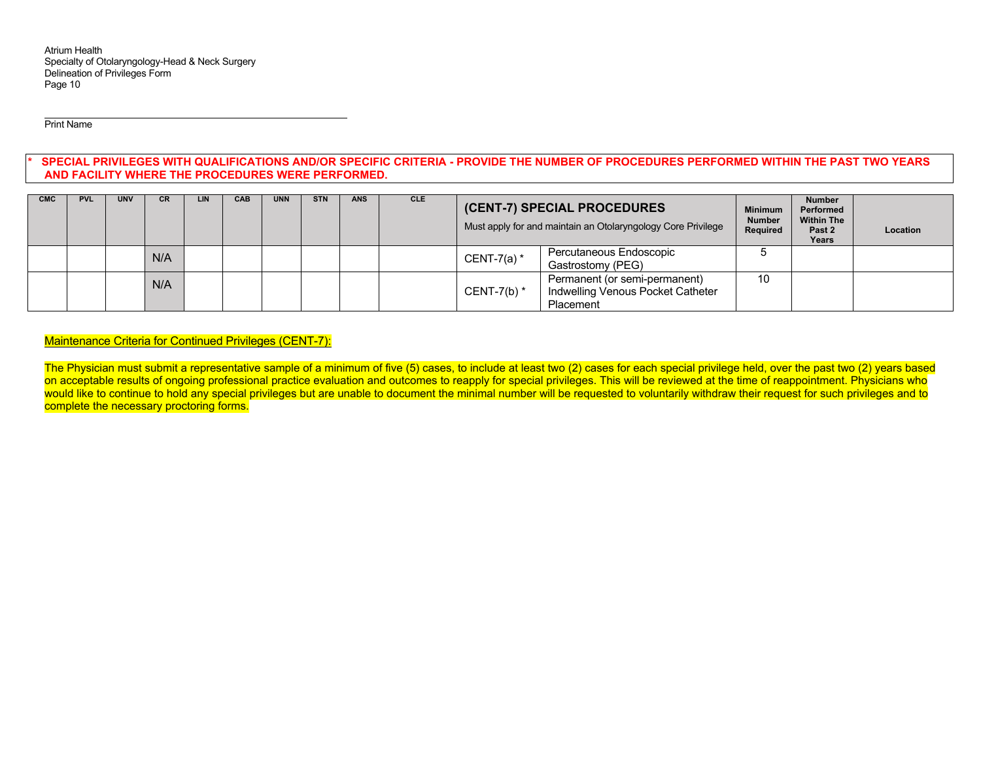Print Name

### SPECIAL PRIVILEGES WITH QUALIFICATIONS AND/OR SPECIFIC CRITERIA - PROVIDE THE NUMBER OF PROCEDURES PERFORMED WITHIN THE PAST TWO YEARS **AND FACILITY WHERE THE PROCEDURES WERE PERFORMED.**

| <b>CMC</b> | <b>PVL</b> | <b>UNV</b> | CR. | LIN | CAB | <b>UNN</b> | <b>STN</b> | <b>ANS</b> | <b>CLE</b> |               | (CENT-7) SPECIAL PROCEDURES<br>Must apply for and maintain an Otolaryngology Core Privilege |    | <b>Number</b><br>Performed<br><b>Within The</b><br>Past 2<br>Years | Location |
|------------|------------|------------|-----|-----|-----|------------|------------|------------|------------|---------------|---------------------------------------------------------------------------------------------|----|--------------------------------------------------------------------|----------|
|            |            |            | N/A |     |     |            |            |            |            | CENT-7(a) $*$ | Percutaneous Endoscopic<br>Gastrostomy (PEG)                                                |    |                                                                    |          |
|            |            |            | N/A |     |     |            |            |            |            | CENT-7(b) $*$ | Permanent (or semi-permanent)<br>Indwelling Venous Pocket Catheter<br>Placement             | 10 |                                                                    |          |

## Maintenance Criteria for Continued Privileges (CENT-7):

The Physician must submit a representative sample of a minimum of five (5) cases, to include at least two (2) cases for each special privilege held, over the past two (2) years based on acceptable results of ongoing professional practice evaluation and outcomes to reapply for special privileges. This will be reviewed at the time of reappointment. Physicians who would like to continue to hold any special privileges but are unable to document the minimal number will be requested to voluntarily withdraw their request for such privileges and to complete the necessary proctoring forms.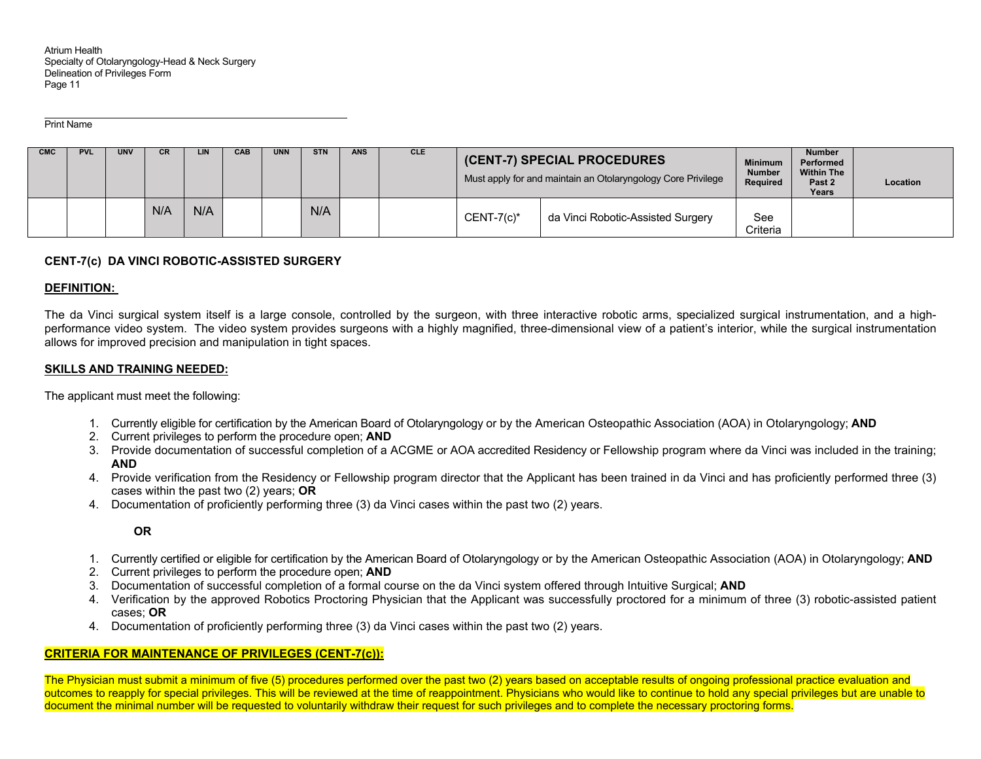Print Name

| <b>CMC</b> | <b>PVL</b> | <b>UNV</b> | CR. |     | <b>CAB</b> | <b>UNN</b> | <b>STN</b> | <b>ANS</b> | <b>CLE</b> | (CENT-7) SPECIAL PROCEDURES<br>Must apply for and maintain an Otolaryngology Core Privilege | <b>Minimum</b><br><b>Number</b><br>Required | <b>Number</b><br>Performed<br><b>Within The</b><br>Past 2<br>Years | Location |  |
|------------|------------|------------|-----|-----|------------|------------|------------|------------|------------|---------------------------------------------------------------------------------------------|---------------------------------------------|--------------------------------------------------------------------|----------|--|
|            |            |            | N/A | N/A |            |            | N/A        |            |            | $CENT-7(c)*$                                                                                | da Vinci Robotic-Assisted Surgery           | See<br>Criteria                                                    |          |  |

## **CENT-7(c) DA VINCI ROBOTIC-ASSISTED SURGERY**

### **DEFINITION:**

The da Vinci surgical system itself is a large console, controlled by the surgeon, with three interactive robotic arms, specialized surgical instrumentation, and a highperformance video system. The video system provides surgeons with a highly magnified, three-dimensional view of a patient's interior, while the surgical instrumentation allows for improved precision and manipulation in tight spaces.

#### **SKILLS AND TRAINING NEEDED:**

The applicant must meet the following:

- 1. Currently eligible for certification by the American Board of Otolaryngology or by the American Osteopathic Association (AOA) in Otolaryngology; **AND**
- 2. Current privileges to perform the procedure open; **AND**
- 3. Provide documentation of successful completion of a ACGME or AOA accredited Residency or Fellowship program where da Vinci was included in the training; **AND**
- 4. Provide verification from the Residency or Fellowship program director that the Applicant has been trained in da Vinci and has proficiently performed three (3) cases within the past two (2) years; **OR**
- 4. Documentation of proficiently performing three (3) da Vinci cases within the past two (2) years.

**OR** 

- 1. Currently certified or eligible for certification by the American Board of Otolaryngology or by the American Osteopathic Association (AOA) in Otolaryngology; **AND**
- 2. Current privileges to perform the procedure open; **AND**
- 3. Documentation of successful completion of a formal course on the da Vinci system offered through Intuitive Surgical; **AND**
- 4. Verification by the approved Robotics Proctoring Physician that the Applicant was successfully proctored for a minimum of three (3) robotic-assisted patient cases; **OR**
- 4. Documentation of proficiently performing three (3) da Vinci cases within the past two (2) years.

#### **CRITERIA FOR MAINTENANCE OF PRIVILEGES (CENT-7(c)):**

The Physician must submit a minimum of five (5) procedures performed over the past two (2) years based on acceptable results of ongoing professional practice evaluation and outcomes to reapply for special privileges. This will be reviewed at the time of reappointment. Physicians who would like to continue to hold any special privileges but are unable to document the minimal number will be requested to voluntarily withdraw their request for such privileges and to complete the necessary proctoring forms.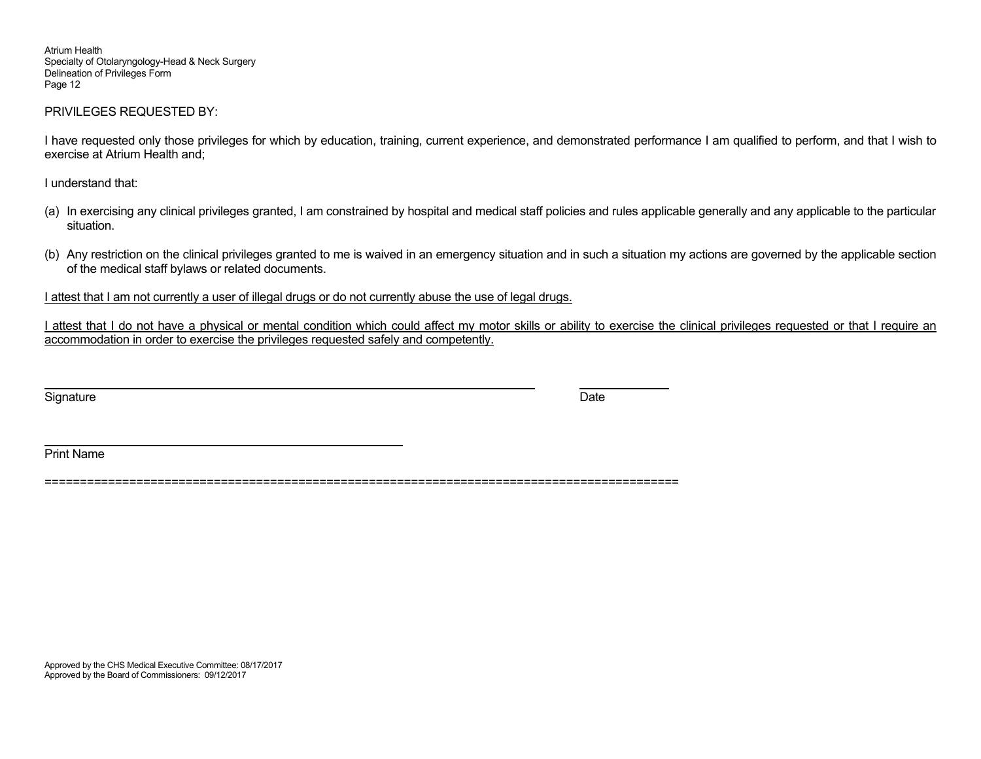## PRIVILEGES REQUESTED BY:

I have requested only those privileges for which by education, training, current experience, and demonstrated performance I am qualified to perform, and that I wish to exercise at Atrium Health and;

I understand that:

- (a) In exercising any clinical privileges granted, I am constrained by hospital and medical staff policies and rules applicable generally and any applicable to the particular situation.
- (b) Any restriction on the clinical privileges granted to me is waived in an emergency situation and in such a situation my actions are governed by the applicable section of the medical staff bylaws or related documents.

I attest that I am not currently a user of illegal drugs or do not currently abuse the use of legal drugs.

I attest that I do not have a physical or mental condition which could affect my motor skills or ability to exercise the clinical privileges requested or that I require an accommodation in order to exercise the privileges requested safely and competently.

Signature Date Date of the Signature Date of the Date of the Date of the Date of the Date of the Date of the D

Print Name

==========================================================================================

Approved by the CHS Medical Executive Committee: 08/17/2017 Approved by the Board of Commissioners: 09/12/2017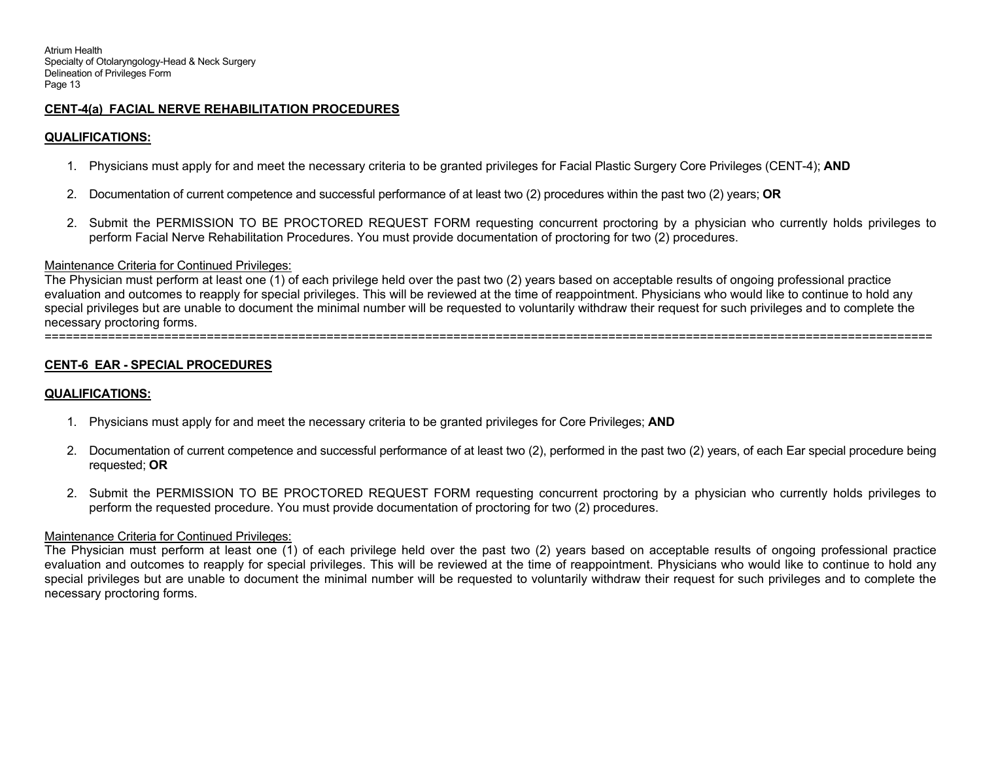## **CENT-4(a) FACIAL NERVE REHABILITATION PROCEDURES**

# **QUALIFICATIONS:**

- 1. Physicians must apply for and meet the necessary criteria to be granted privileges for Facial Plastic Surgery Core Privileges (CENT-4); **AND**
- 2. Documentation of current competence and successful performance of at least two (2) procedures within the past two (2) years; **OR**
- 2. Submit the PERMISSION TO BE PROCTORED REQUEST FORM requesting concurrent proctoring by a physician who currently holds privileges to perform Facial Nerve Rehabilitation Procedures. You must provide documentation of proctoring for two (2) procedures.

## Maintenance Criteria for Continued Privileges:

The Physician must perform at least one (1) of each privilege held over the past two (2) years based on acceptable results of ongoing professional practice evaluation and outcomes to reapply for special privileges. This will be reviewed at the time of reappointment. Physicians who would like to continue to hold any special privileges but are unable to document the minimal number will be requested to voluntarily withdraw their request for such privileges and to complete the necessary proctoring forms. ==============================================================================================================================

# **CENT-6 EAR - SPECIAL PROCEDURES**

# **QUALIFICATIONS:**

- 1. Physicians must apply for and meet the necessary criteria to be granted privileges for Core Privileges; **AND**
- 2. Documentation of current competence and successful performance of at least two (2), performed in the past two (2) years, of each Ear special procedure being requested; **OR**
- 2. Submit the PERMISSION TO BE PROCTORED REQUEST FORM requesting concurrent proctoring by a physician who currently holds privileges to perform the requested procedure. You must provide documentation of proctoring for two (2) procedures.

## Maintenance Criteria for Continued Privileges:

The Physician must perform at least one (1) of each privilege held over the past two (2) years based on acceptable results of ongoing professional practice evaluation and outcomes to reapply for special privileges. This will be reviewed at the time of reappointment. Physicians who would like to continue to hold any special privileges but are unable to document the minimal number will be requested to voluntarily withdraw their request for such privileges and to complete the necessary proctoring forms.